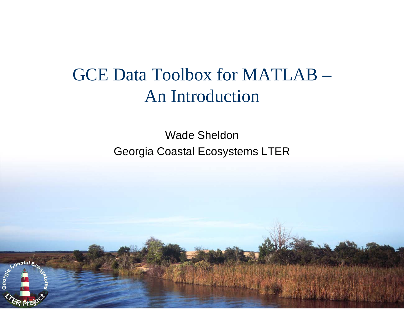# GCE Data Toolbox for MATLAB –An Introduction

Wade Sheldon Georgia Coastal Ecosystems LTER

Coastal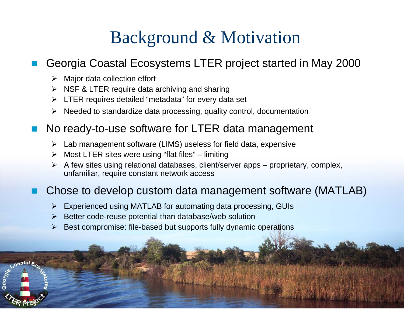# Background & Motivation

### T Georgia Coastal Ecosystems LTER project started in May 2000

- $\triangleright$  Major data collection effort
- $\triangleright$  NSF & LTER require data archiving and sharing
- ¾ LTER requires detailed "metadata" for every data set
- $\blacktriangleright$ Needed to standardize data processing, quality control, documentation

#### T. No ready-to-use software for LTER data management

- $\blacktriangleright$ Lab management software (LIMS) useless for field data, expensive
- ¾ Most LTER sites were using "flat files" limiting
- ¾ A few sites using relational databases, client/server apps proprietary, complex, unfamiliar, require constant network access

### T Chose to develop custom data management software (MATLAB)

- $\blacktriangleright$ Experienced using MATLAB for automating data processing, GUIs
- $\blacktriangleright$ Better code-reuse potential than database/web solution
- ¾Best compromise: file-based but supports fully dynamic operations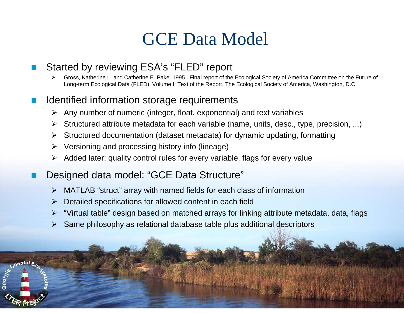## GCE Data Model

#### F Started by reviewing ESA's "FLED" report

¾ Gross, Katherine L. and Catherine E. Pake. 1995. Final report of the Ecological Society of America Committee on the Future of Long-term Ecological Data (FLED). Volume I: Text of the Report. The Ecological Society of America, Washington, D.C.

#### k. Identified information storage requirements

- $\triangleright$  Any number of numeric (integer, float, exponential) and text variables
- ¾ Structured attribute metadata for each variable (name, units, desc., type, precision, ...)
- $\triangleright$ Structured documentation (dataset metadata) for dynamic updating, formatting
- ¾ Versioning and processing history info (lineage)
- ¾ Added later: quality control rules for every variable, flags for every value
- F Designed data model: "GCE Data Structure"
	- ¾ MATLAB "struct" array with named fields for each class of information
	- $\blacktriangleright$ Detailed specifications for allowed content in each field
	- ¾ "Virtual table" design based on matched arrays for linking attribute metadata, data, flags
	- $\blacktriangleright$ Same philosophy as relational database table plus additional descriptors

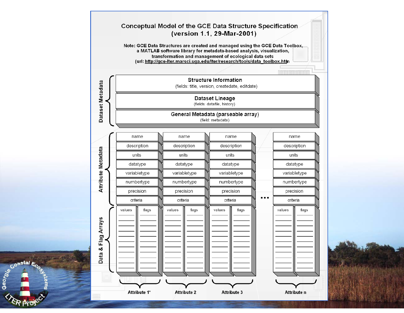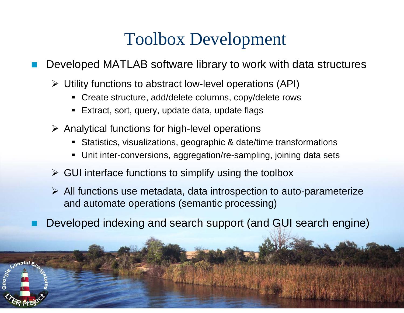### Toolbox Development

T Developed MATLAB software library to work with data structures

- ¾ Utility functions to abstract low-level operations (API)
	- Create structure, add/delete columns, copy/delete rows
	- $\blacksquare$ Extract, sort, query, update data, update flags
- $\triangleright$  Analytical functions for high-level operations
	- Statistics, visualizations, geographic & date/time transformations
	- Unit inter-conversions, aggregation/re-sampling, joining data sets
- $\triangleright$  GUI interface functions to simplify using the toolbox
- ¾ All functions use metadata, data introspection to auto-parameterize and automate operations (semantic processing)
- T. Developed indexing and search support (and GUI search engine)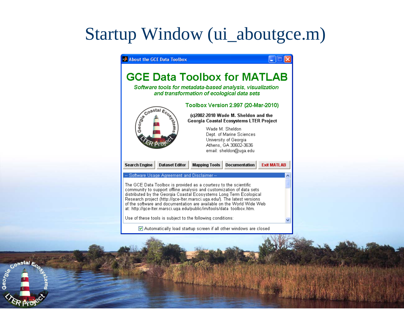# Startup Window (ui\_aboutgce.m)

### About the GCE Data Toolbox **GCE Data Toolbox for MATLAB** Software tools for metadata-based analysis, visualization and transformation of ecological data sets Toolbox Version 2.997 (20-Mar-2010) (c)2002-2010 Wade M. Sheldon and the Georgia Coastal Ecosystems LTER Project Wade M. Sheldon Dept. of Marine Sciences University of Georgia Athens, GA 30602-3636 email: sheldon@uga.edu **Dataset Editor Mapping Tools Documentation Search Engine Exit MATLAB** -- Software Usage Agreement and Disclaimer -The GCE Data Toolbox is provided as a courtesy to the scientific community to support offline analysis and customization of data sets distributed by the Georgia Coastal Ecosystems Long Term Ecological Research project (http://gce-lter.marsci.uga.edu/). The latest versions of the software and documentation are available on the World Wide Web at: http://gce-lter.marsci.uga.edu/public/im/tools/data\_toolbox.htm. Use of these tools is subject to the following conditions: Automatically load startup screen if all other windows are closed

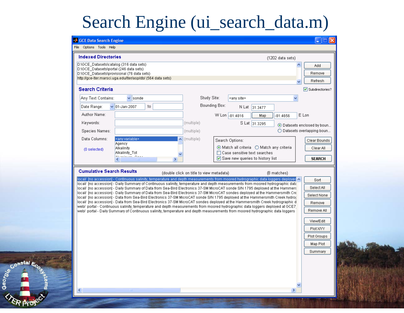# Search Engine (ui\_search\_data.m)

| File Options Tools Help                                                           |                                                             |                                          |               |                                |                                                                                                                                                                                                                                                                    |                                 |
|-----------------------------------------------------------------------------------|-------------------------------------------------------------|------------------------------------------|---------------|--------------------------------|--------------------------------------------------------------------------------------------------------------------------------------------------------------------------------------------------------------------------------------------------------------------|---------------------------------|
| <b>Indexed Directories</b>                                                        |                                                             |                                          |               |                                | $(1202$ data sets)                                                                                                                                                                                                                                                 |                                 |
| D:\GCE Datasets\catalog (316 data sets)<br>D:\GCE_Datasets\portal (246 data sets) |                                                             |                                          |               |                                |                                                                                                                                                                                                                                                                    | ∧<br>Add                        |
|                                                                                   | D:\GCE Datasets\provisional (76 data sets)                  |                                          |               |                                |                                                                                                                                                                                                                                                                    | Remove                          |
|                                                                                   | http://gce-lter.marsci.uga.edu/lter/asp/db/ (564 data sets) |                                          |               |                                |                                                                                                                                                                                                                                                                    | Refresh<br>v                    |
| <b>Search Criteria</b>                                                            |                                                             |                                          |               |                                |                                                                                                                                                                                                                                                                    | $\triangledown$ Subdirectories? |
| Any Text Contains:                                                                | v<br>sonde                                                  |                                          | Study Site:   | ≼any site≽                     |                                                                                                                                                                                                                                                                    |                                 |
| Date Range:                                                                       | $\vee$ 01-Jan-2007<br>to.                                   |                                          | Bounding Box: |                                | N Lat 31.3477                                                                                                                                                                                                                                                      |                                 |
| Author Name:                                                                      |                                                             |                                          |               | W Lon -81.4816                 | Map<br>$-81.4656$                                                                                                                                                                                                                                                  | E Lon                           |
| Keywords:                                                                         |                                                             | (multiple)                               |               |                                | S Lat 31.3295                                                                                                                                                                                                                                                      | ⊙ Datasets enclosed by boun     |
| Species Names:                                                                    |                                                             | (multiple)                               |               |                                |                                                                                                                                                                                                                                                                    | ◯ Datasets overlapping boun     |
| Data Columns:                                                                     | ≼any variable>                                              | $\overline{\bullet}$ (multiple)          |               | Search Options:                |                                                                                                                                                                                                                                                                    | Clear Bounds                    |
| (0 selected)                                                                      | Agency<br><b>Alkalinity</b>                                 |                                          |               |                                | $\odot$ Match all criteria $\odot$ Match any criteria                                                                                                                                                                                                              | Clear All                       |
|                                                                                   | Alkalinity_Tot<br>بمصاحب المستعملينة                        |                                          |               | □ Case sensitive text searches |                                                                                                                                                                                                                                                                    |                                 |
|                                                                                   |                                                             | ×                                        |               |                                | $\boxed{\mathbf{v}}$ Save new queries to history list                                                                                                                                                                                                              | <b>SEARCH</b>                   |
| <b>Cumulative Search Results</b>                                                  |                                                             | (double click on title to view metadata) |               |                                | (8 matches)                                                                                                                                                                                                                                                        |                                 |
|                                                                                   |                                                             |                                          |               |                                | local/ [no accession] - Continuous salinity, temperature and depth measurements from moored hydrographic data loggers deployed $\sim$                                                                                                                              | Sort                            |
|                                                                                   |                                                             |                                          |               |                                | local/ [no accession] - Daily Summary of Continuous salinity, temperature and depth measurements from moored hydrographic data<br>local/ [no accession] - Daily Summary of Data from Sea-Bird Electronics 37-SM MicroCAT sonde S/N 1795 deployed at the Hammers    | Select All                      |
|                                                                                   |                                                             |                                          |               |                                | local/ [no accession] - Daily Summary of Data from Sea-Bird Electronics 37-SM MicroCAT sondes deployed at the Hammersmith Cre<br>local/ [no accession] - Data from Sea-Bird Electronics 37-SM MicroCAT sonde S/N 1795 deployed at the Hammersmith Creek hydrog     | Select None                     |
|                                                                                   |                                                             |                                          |               |                                | local/ [no accession] - Data from Sea-Bird Electronics 37-SM MicroCAT sondes deployed at the Hammersmith Creek hydrographic d                                                                                                                                      | Remove                          |
|                                                                                   |                                                             |                                          |               |                                | [767] web/ portal - Continuous salinity, temperature and depth measurements from moored hydrographic data loggers deployed at GCE7<br>web/ portal - Daily Summary of Continuous salinity, temperature and depth measurements from moored hydrographic data loggers | Remove All                      |
|                                                                                   |                                                             |                                          |               |                                |                                                                                                                                                                                                                                                                    |                                 |
|                                                                                   |                                                             |                                          |               |                                |                                                                                                                                                                                                                                                                    | View/Edit                       |
|                                                                                   |                                                             |                                          |               |                                |                                                                                                                                                                                                                                                                    | Plot X/YY                       |
|                                                                                   |                                                             |                                          |               |                                |                                                                                                                                                                                                                                                                    | Plot Groups                     |
|                                                                                   |                                                             |                                          |               |                                |                                                                                                                                                                                                                                                                    | Map Plot                        |
|                                                                                   |                                                             |                                          |               |                                |                                                                                                                                                                                                                                                                    | Summary                         |
|                                                                                   |                                                             |                                          |               |                                |                                                                                                                                                                                                                                                                    |                                 |
|                                                                                   |                                                             |                                          |               |                                |                                                                                                                                                                                                                                                                    |                                 |
|                                                                                   |                                                             |                                          |               |                                |                                                                                                                                                                                                                                                                    |                                 |
|                                                                                   |                                                             |                                          |               |                                |                                                                                                                                                                                                                                                                    |                                 |
| ≤                                                                                 | $\rm{III}$ .                                                |                                          |               |                                | ⋗                                                                                                                                                                                                                                                                  |                                 |

Coastal E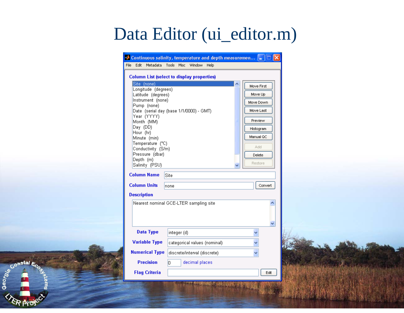# Data Editor (ui\_editor.m)

|                                                                                                                                                                                                                                                                                      | Continuous salinity, temperature and depth measuremen  _                                             |                                                                                                                   |  |
|--------------------------------------------------------------------------------------------------------------------------------------------------------------------------------------------------------------------------------------------------------------------------------------|------------------------------------------------------------------------------------------------------|-------------------------------------------------------------------------------------------------------------------|--|
| File Edit Metadata                                                                                                                                                                                                                                                                   | Tools Misc Window Help                                                                               |                                                                                                                   |  |
| Site (none)<br>Longitude (degrees)<br>Latitude (degrees)<br>Instrument (none)<br>Pump (none)<br>Year (YYYY)<br>Month (MM)<br>Day (DD)<br>Hour (hr)<br>Minute (min)<br>Temperature (°C)<br>Conductivity (S/m)<br>Pressure (dbar)<br>Depth (m)<br>Salinity (PSU)<br><b>Column Name</b> | <b>Column List (select to display properties)</b><br>Date (serial day (base 1/1/0000) - GMT)<br>Site | Move First<br>Move Up<br>Move Down<br>Move Last<br>Preview<br>Histogram<br>Manual QC<br>Add.<br>Delete<br>Restore |  |
| <b>Column Units</b>                                                                                                                                                                                                                                                                  | none                                                                                                 | Convert                                                                                                           |  |
| <b>Description</b>                                                                                                                                                                                                                                                                   |                                                                                                      |                                                                                                                   |  |
|                                                                                                                                                                                                                                                                                      | Nearest nominal GCE-LTER sampling site                                                               | v                                                                                                                 |  |
| <b>Data Type</b>                                                                                                                                                                                                                                                                     | integer (d)                                                                                          |                                                                                                                   |  |
| <b>Variable Type</b>                                                                                                                                                                                                                                                                 | categorical values (nominal)                                                                         |                                                                                                                   |  |
| <b>Numerical Type</b>                                                                                                                                                                                                                                                                | discrete/interval (discrete)                                                                         |                                                                                                                   |  |
| <b>Precision</b><br><b>Flag Criteria</b>                                                                                                                                                                                                                                             | lo.<br>decimal places                                                                                | Edit                                                                                                              |  |
|                                                                                                                                                                                                                                                                                      | <b>WASHINGTON</b>                                                                                    |                                                                                                                   |  |

Coastal Ec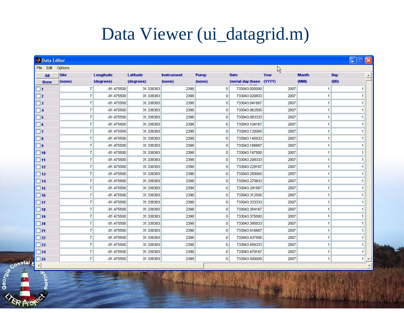# Data Viewer (ui\_datagrid.m)

| All                         | <b>Site</b> |                          | Longitude    | Latitude  | <b>Instrument</b> | Pump           | <b>Date</b>       | Year   | <b>Month</b>         | Day  |
|-----------------------------|-------------|--------------------------|--------------|-----------|-------------------|----------------|-------------------|--------|----------------------|------|
| <b>None</b>                 | (none)      |                          | (degrees)    | (degrees) | (none)            | (none)         | (serial day (base | (YYYY) | (MM)                 | (DD) |
| $\Box$ 1                    |             | $\overline{7}$           | -81.475500   | 31.338383 | 2398              | $\overline{0}$ | 733043.000000     | 2007   | $\overline{1}$       |      |
| $\square$ 2                 |             | $\overline{7}$           | $-81.475500$ | 31.338383 | 2398              | $\mathbf 0$    | 733043.020833     | 2007   | 1                    |      |
| $\Box$ 3                    |             | $\overline{7}$           | $-81.475500$ | 31.338383 | 2398              | $\mathbf{0}$   | 733043.041667     | 2007   | $\mathbf{1}$         |      |
| $\Box$ 4                    |             | $\overline{7}$           | -81.475500   | 31.338383 | 2398              | 0              | 733043.062500     | 2007   | $\overline{1}$       |      |
| $\square$ 5                 |             | $\overline{7}$           | $-81.475500$ | 31.338383 | 2398              | $\mathbf{0}$   | 733043.083333     | 2007   | $\mathbf{1}$         |      |
| $\Box$ 6                    |             | $\overline{7}$           | -81.475500   | 31.338383 | 2398              | $\mathbf 0$    | 733043.104167     | 2007   | $\mathbf{1}$         |      |
| $\Box$ 7                    |             | $\overline{7}$           | $-81.475500$ | 31.338383 | 2398              | $\mathbf{0}$   | 733043.125000     | 2007   | $\overline{1}$       |      |
| $\Box$ 8                    |             | $\overline{t}$           | $-81.475500$ | 31.338383 | 2398              | 0              | 733043.145833     | 2007   | $\mathbf{1}$         |      |
| $\Box$                      |             | $\overline{7}$           | $-81.475500$ | 31.338383 | 2398              | $\mathbf 0$    | 733043.166667     | 2007   | $\overline{1}$       |      |
| $\square$ 10                |             | $\overline{7}$           | $-81.475500$ | 31.338383 | 2398              | $\mathbf 0$    | 733043.187500     | 2007   | $\overline{1}$       |      |
| $\Box$ 11                   |             | $\overline{7}$           | $-81.475500$ | 31.338383 | 2398              | 0              | 733043.208333     | 2007   | $\mathbf{1}$         |      |
| $\Box$ 12                   |             | $\overline{7}$           | $-81.475500$ | 31.338383 | 2398              | $\circ$        | 733043.229167     | 2007   | $\overline{1}$       |      |
| $\Box$ 13                   |             | $\overline{7}$           | $-81.475500$ | 31.338383 | 2398              | $\mathbf 0$    | 733043.250000     | 2007   | $\vert$              |      |
| $\Box$ 14                   |             | $\overline{7}$           | -81.475500   | 31.338383 | 2398              | 0              | 733043.270833     | 2007   | $\overline{1}$       |      |
| $\Box$ 15                   |             | $\overline{7}$           | $-81.475500$ | 31.338383 | 2398              | $\Omega$       | 733043.291667     | 2007   | $\overline{1}$       |      |
| $\Box$ 16                   |             | $\overline{\mathcal{L}}$ | $-81.475500$ | 31.338383 | 2398              | $\mathbf 0$    | 733043.312500     | 2007   | $\overline{1}$       |      |
| $\square$ 17                |             | $\overline{7}$           | -81.475500   | 31.338383 | 2398              | $\mathbf 0$    | 733043.333333     | 2007   | $\blacktriangleleft$ |      |
| $\Box$ 18                   |             | $\overline{7}$           | $-81.475500$ | 31.338383 | 2398              | $\mathbf 0$    | 733043.354167     | 2007   | 1                    |      |
| $\Box$ 19                   |             | $\overline{7}$           | $-81.475500$ | 31.338383 | 2398              | $\mathbf{0}$   | 733043.375000     | 2007   | $\mathbf{1}$         |      |
| $\Box$ 20                   |             | $\overline{7}$           | $-81.475500$ | 31.338383 | 2398              | $\mathbf 0$    | 733043.395833     | 2007   | $\overline{1}$       |      |
| $\Box$ 21                   |             | 7                        | $-81.475500$ | 31.338383 | 2398              | $\mathbf 0$    | 733043.416667     | 2007   | $\overline{1}$       |      |
| $\Box$ 22                   |             | $\overline{7}$           | $-81.475500$ | 31.338383 | 2398              | $\mathbf 0$    | 733043.437500     | 2007   | $\mathbf{1}$         |      |
| $\Box$ 23                   |             | $\overline{7}$           | $-81.475500$ | 31.338383 | 2398              | $\mathbf{0}$   | 733043.458333     | 2007   | $\overline{1}$       |      |
| $\Box$ 24                   |             | $\overline{t}$           | $-81.475500$ | 31.338383 | 2398              | $\mathbf 0$    | 733043.479167     | 2007   | $\overline{1}$       |      |
| $\overline{\phantom{0}}$ 25 |             | $\overline{7}$           | -81.475500   | 31.338383 | 2398              | $\mathbf{0}$   | 733043.500000     | 2007   | $\mathbf{1}$         |      |
|                             |             |                          |              |           |                   |                |                   |        |                      |      |
| <b>Dastal 4</b><br>stems    |             |                          |              |           |                   |                |                   |        |                      |      |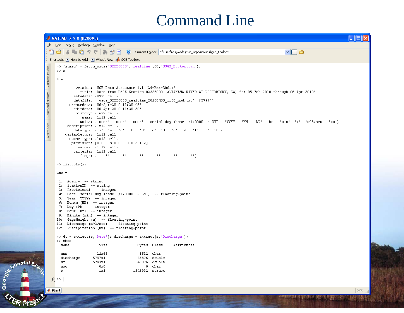### Command Line



Coastal &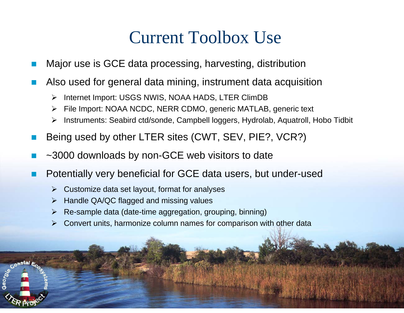## Current Toolbox Use

- F Major use is GCE data processing, harvesting, distribution
- k. Also used for general data mining, instrument data acquisition
	- $\blacktriangleright$ Internet Import: USGS NWIS, NOAA HADS, LTER ClimDB
	- $\blacktriangleright$ File Import: NOAA NCDC, NERR CDMO, generic MATLAB, generic text
	- $\blacktriangleright$ Instruments: Seabird ctd/sonde, Campbell loggers, Hydrolab, Aquatroll, Hobo Tidbit
- k. Being used by other LTER sites (CWT, SEV, PIE?, VCR?)
- F ~3000 downloads by non-GCE web visitors to date
- k. Potentially very beneficial for GCE data users, but under-used
	- $\triangleright$  Customize data set layout, format for analyses
	- $\blacktriangleright$ Handle QA/QC flagged and missing values
	- $\blacktriangleright$ Re-sample data (date-time aggregation, grouping, binning)
	- $\blacktriangleright$ Convert units, harmonize column names for comparison with other data